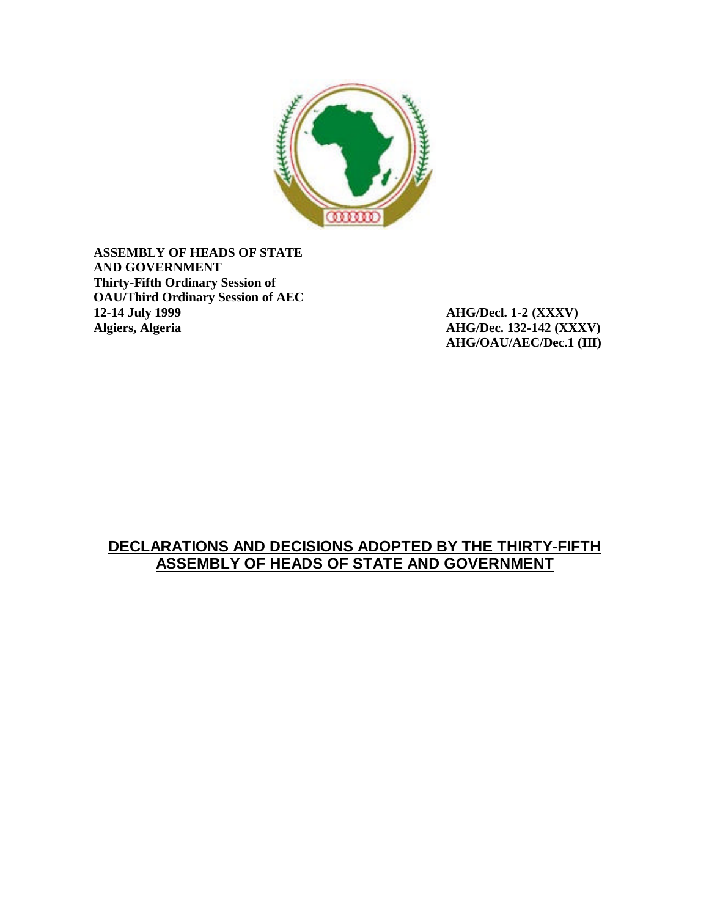

**ASSEMBLY OF HEADS OF STATE AND GOVERNMENT Thirty-Fifth Ordinary Session of OAU/Third Ordinary Session of AEC 12-14 July 1999 AHG/Decl. 1-2 (XXXV)**

**Algiers, Algeria AHG/Dec. 132-142 (XXXV) AHG/OAU/AEC/Dec.1 (III)**

## **DECLARATIONS AND DECISIONS ADOPTED BY THE THIRTY-FIFTH ASSEMBLY OF HEADS OF STATE AND GOVERNMENT**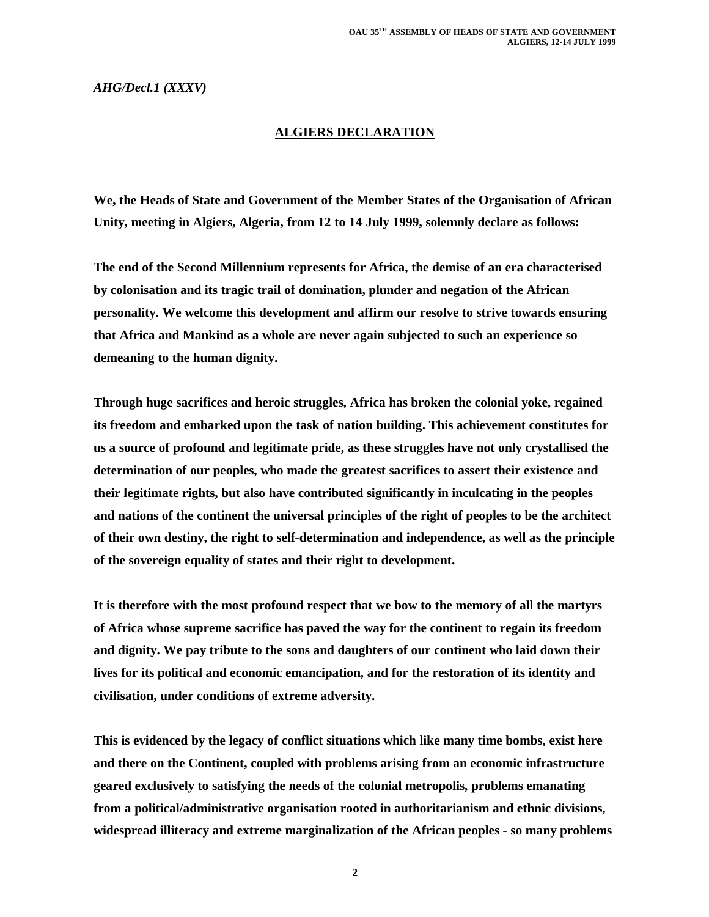*AHG/Decl.1 (XXXV)*

### **ALGIERS DECLARATION**

**We, the Heads of State and Government of the Member States of the Organisation of African Unity, meeting in Algiers, Algeria, from 12 to 14 July 1999, solemnly declare as follows:** 

**The end of the Second Millennium represents for Africa, the demise of an era characterised by colonisation and its tragic trail of domination, plunder and negation of the African personality. We welcome this development and affirm our resolve to strive towards ensuring that Africa and Mankind as a whole are never again subjected to such an experience so demeaning to the human dignity.** 

**Through huge sacrifices and heroic struggles, Africa has broken the colonial yoke, regained its freedom and embarked upon the task of nation building. This achievement constitutes for us a source of profound and legitimate pride, as these struggles have not only crystallised the determination of our peoples, who made the greatest sacrifices to assert their existence and their legitimate rights, but also have contributed significantly in inculcating in the peoples and nations of the continent the universal principles of the right of peoples to be the architect of their own destiny, the right to self-determination and independence, as well as the principle of the sovereign equality of states and their right to development.** 

**It is therefore with the most profound respect that we bow to the memory of all the martyrs of Africa whose supreme sacrifice has paved the way for the continent to regain its freedom and dignity. We pay tribute to the sons and daughters of our continent who laid down their lives for its political and economic emancipation, and for the restoration of its identity and civilisation, under conditions of extreme adversity.** 

**This is evidenced by the legacy of conflict situations which like many time bombs, exist here and there on the Continent, coupled with problems arising from an economic infrastructure geared exclusively to satisfying the needs of the colonial metropolis, problems emanating from a political/administrative organisation rooted in authoritarianism and ethnic divisions, widespread illiteracy and extreme marginalization of the African peoples - so many problems**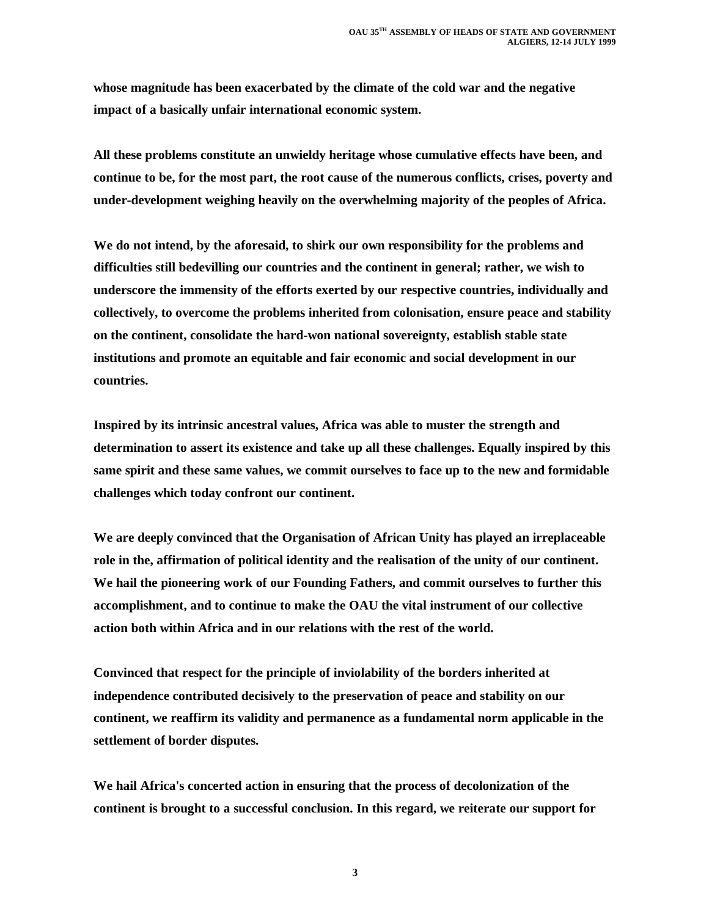**whose magnitude has been exacerbated by the climate of the cold war and the negative impact of a basically unfair international economic system.** 

**All these problems constitute an unwieldy heritage whose cumulative effects have been, and continue to be, for the most part, the root cause of the numerous conflicts, crises, poverty and under-development weighing heavily on the overwhelming majority of the peoples of Africa.** 

**We do not intend, by the aforesaid, to shirk our own responsibility for the problems and difficulties still bedevilling our countries and the continent in general; rather, we wish to underscore the immensity of the efforts exerted by our respective countries, individually and collectively, to overcome the problems inherited from colonisation, ensure peace and stability on the continent, consolidate the hard-won national sovereignty, establish stable state institutions and promote an equitable and fair economic and social development in our countries.** 

**Inspired by its intrinsic ancestral values, Africa was able to muster the strength and determination to assert its existence and take up all these challenges. Equally inspired by this same spirit and these same values, we commit ourselves to face up to the new and formidable challenges which today confront our continent.** 

**We are deeply convinced that the Organisation of African Unity has played an irreplaceable role in the, affirmation of political identity and the realisation of the unity of our continent. We hail the pioneering work of our Founding Fathers, and commit ourselves to further this accomplishment, and to continue to make the OAU the vital instrument of our collective action both within Africa and in our relations with the rest of the world.** 

**Convinced that respect for the principle of inviolability of the borders inherited at independence contributed decisively to the preservation of peace and stability on our continent, we reaffirm its validity and permanence as a fundamental norm applicable in the settlement of border disputes.** 

**We hail Africa's concerted action in ensuring that the process of decolonization of the continent is brought to a successful conclusion. In this regard, we reiterate our support for**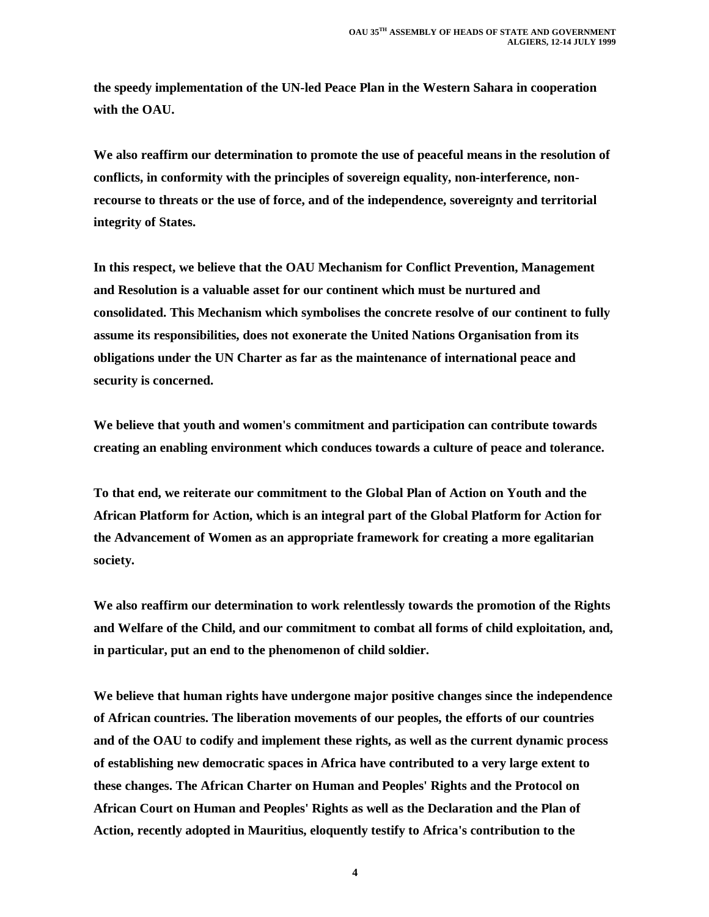**the speedy implementation of the UN-led Peace Plan in the Western Sahara in cooperation with the OAU.** 

**We also reaffirm our determination to promote the use of peaceful means in the resolution of conflicts, in conformity with the principles of sovereign equality, non-interference, nonrecourse to threats or the use of force, and of the independence, sovereignty and territorial integrity of States.** 

**In this respect, we believe that the OAU Mechanism for Conflict Prevention, Management and Resolution is a valuable asset for our continent which must be nurtured and consolidated. This Mechanism which symbolises the concrete resolve of our continent to fully assume its responsibilities, does not exonerate the United Nations Organisation from its obligations under the UN Charter as far as the maintenance of international peace and security is concerned.** 

**We believe that youth and women's commitment and participation can contribute towards creating an enabling environment which conduces towards a culture of peace and tolerance.** 

**To that end, we reiterate our commitment to the Global Plan of Action on Youth and the African Platform for Action, which is an integral part of the Global Platform for Action for the Advancement of Women as an appropriate framework for creating a more egalitarian society.**

**We also reaffirm our determination to work relentlessly towards the promotion of the Rights and Welfare of the Child, and our commitment to combat all forms of child exploitation, and, in particular, put an end to the phenomenon of child soldier.** 

**We believe that human rights have undergone major positive changes since the independence of African countries. The liberation movements of our peoples, the efforts of our countries and of the OAU to codify and implement these rights, as well as the current dynamic process of establishing new democratic spaces in Africa have contributed to a very large extent to these changes. The African Charter on Human and Peoples' Rights and the Protocol on African Court on Human and Peoples' Rights as well as the Declaration and the Plan of Action, recently adopted in Mauritius, eloquently testify to Africa's contribution to the**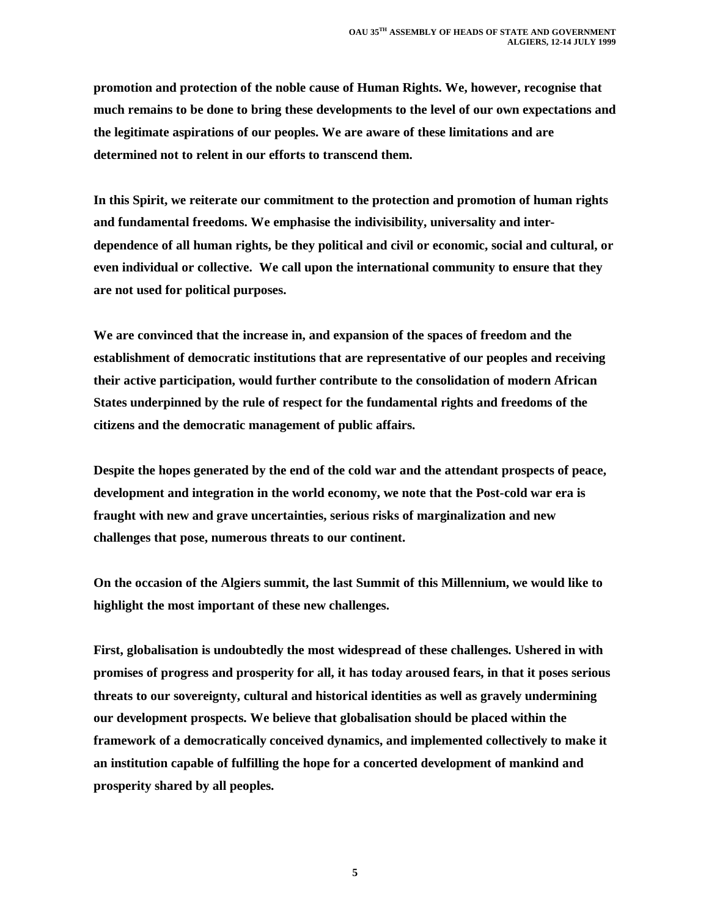**promotion and protection of the noble cause of Human Rights. We, however, recognise that much remains to be done to bring these developments to the level of our own expectations and the legitimate aspirations of our peoples. We are aware of these limitations and are determined not to relent in our efforts to transcend them.** 

**In this Spirit, we reiterate our commitment to the protection and promotion of human rights and fundamental freedoms. We emphasise the indivisibility, universality and interdependence of all human rights, be they political and civil or economic, social and cultural, or even individual or collective. We call upon the international community to ensure that they are not used for political purposes.**

**We are convinced that the increase in, and expansion of the spaces of freedom and the establishment of democratic institutions that are representative of our peoples and receiving their active participation, would further contribute to the consolidation of modern African States underpinned by the rule of respect for the fundamental rights and freedoms of the citizens and the democratic management of public affairs.** 

**Despite the hopes generated by the end of the cold war and the attendant prospects of peace, development and integration in the world economy, we note that the Post-cold war era is fraught with new and grave uncertainties, serious risks of marginalization and new challenges that pose, numerous threats to our continent.** 

**On the occasion of the Algiers summit, the last Summit of this Millennium, we would like to highlight the most important of these new challenges.** 

**First, globalisation is undoubtedly the most widespread of these challenges. Ushered in with promises of progress and prosperity for all, it has today aroused fears, in that it poses serious threats to our sovereignty, cultural and historical identities as well as gravely undermining our development prospects. We believe that globalisation should be placed within the framework of a democratically conceived dynamics, and implemented collectively to make it an institution capable of fulfilling the hope for a concerted development of mankind and prosperity shared by all peoples.**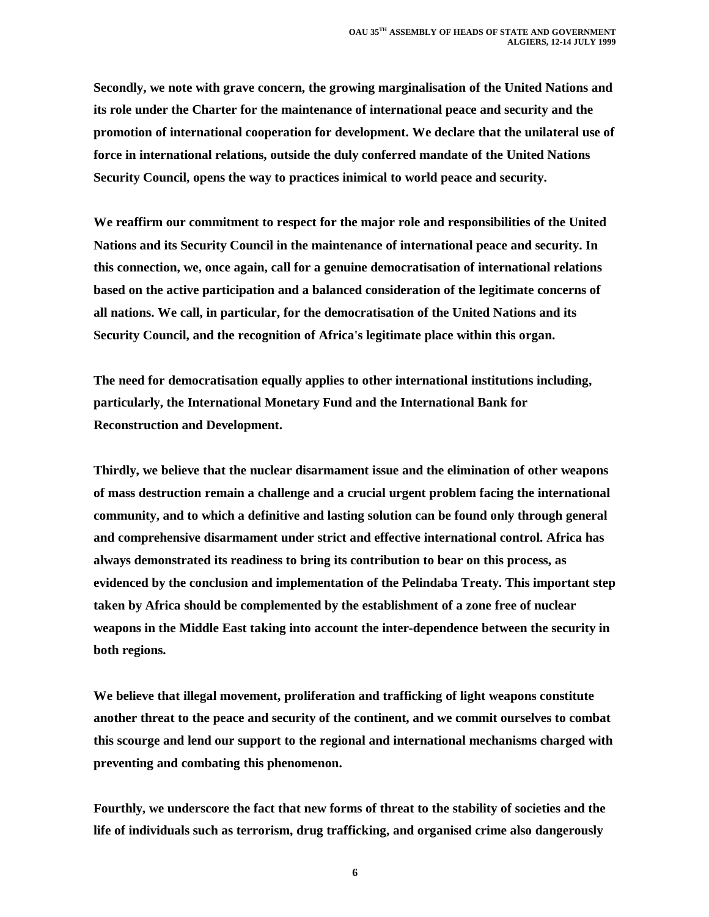**Secondly, we note with grave concern, the growing marginalisation of the United Nations and its role under the Charter for the maintenance of international peace and security and the promotion of international cooperation for development. We declare that the unilateral use of force in international relations, outside the duly conferred mandate of the United Nations Security Council, opens the way to practices inimical to world peace and security.**

**We reaffirm our commitment to respect for the major role and responsibilities of the United Nations and its Security Council in the maintenance of international peace and security. In this connection, we, once again, call for a genuine democratisation of international relations based on the active participation and a balanced consideration of the legitimate concerns of all nations. We call, in particular, for the democratisation of the United Nations and its Security Council, and the recognition of Africa's legitimate place within this organ.** 

**The need for democratisation equally applies to other international institutions including, particularly, the International Monetary Fund and the International Bank for Reconstruction and Development.** 

**Thirdly, we believe that the nuclear disarmament issue and the elimination of other weapons of mass destruction remain a challenge and a crucial urgent problem facing the international community, and to which a definitive and lasting solution can be found only through general and comprehensive disarmament under strict and effective international control. Africa has always demonstrated its readiness to bring its contribution to bear on this process, as evidenced by the conclusion and implementation of the Pelindaba Treaty. This important step taken by Africa should be complemented by the establishment of a zone free of nuclear weapons in the Middle East taking into account the inter-dependence between the security in both regions.** 

**We believe that illegal movement, proliferation and trafficking of light weapons constitute another threat to the peace and security of the continent, and we commit ourselves to combat this scourge and lend our support to the regional and international mechanisms charged with preventing and combating this phenomenon.** 

**Fourthly, we underscore the fact that new forms of threat to the stability of societies and the life of individuals such as terrorism, drug trafficking, and organised crime also dangerously**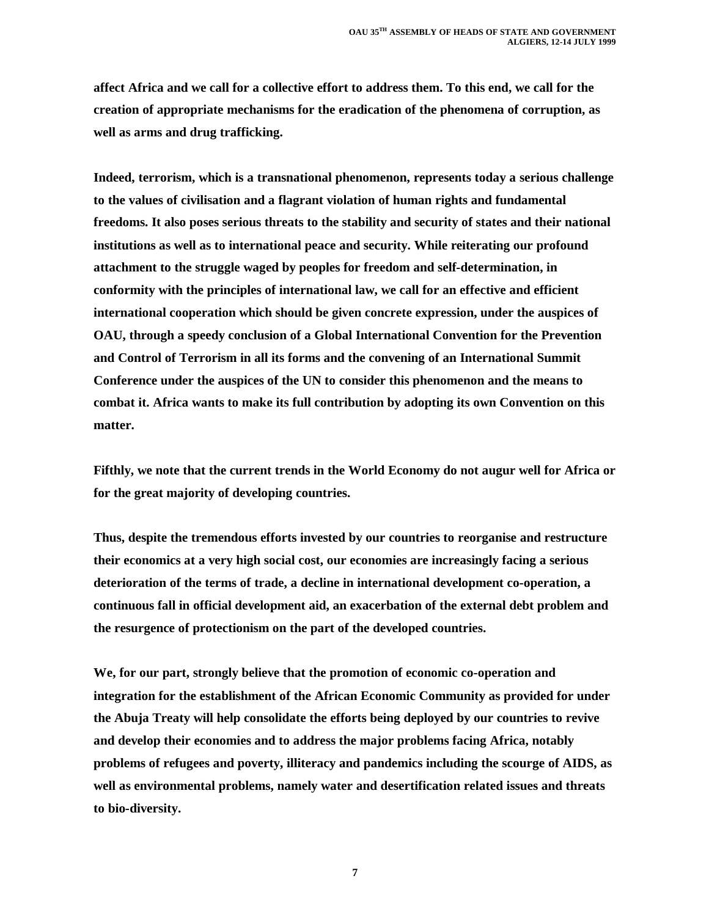**affect Africa and we call for a collective effort to address them. To this end, we call for the creation of appropriate mechanisms for the eradication of the phenomena of corruption, as well as arms and drug trafficking.** 

**Indeed, terrorism, which is a transnational phenomenon, represents today a serious challenge to the values of civilisation and a flagrant violation of human rights and fundamental freedoms. It also poses serious threats to the stability and security of states and their national institutions as well as to international peace and security. While reiterating our profound attachment to the struggle waged by peoples for freedom and self-determination, in conformity with the principles of international law, we call for an effective and efficient international cooperation which should be given concrete expression, under the auspices of OAU, through a speedy conclusion of a Global International Convention for the Prevention and Control of Terrorism in all its forms and the convening of an International Summit Conference under the auspices of the UN to consider this phenomenon and the means to combat it. Africa wants to make its full contribution by adopting its own Convention on this matter.** 

**Fifthly, we note that the current trends in the World Economy do not augur well for Africa or for the great majority of developing countries.** 

**Thus, despite the tremendous efforts invested by our countries to reorganise and restructure their economics at a very high social cost, our economies are increasingly facing a serious deterioration of the terms of trade, a decline in international development co-operation, a continuous fall in official development aid, an exacerbation of the external debt problem and the resurgence of protectionism on the part of the developed countries.** 

**We, for our part, strongly believe that the promotion of economic co-operation and integration for the establishment of the African Economic Community as provided for under the Abuja Treaty will help consolidate the efforts being deployed by our countries to revive and develop their economies and to address the major problems facing Africa, notably problems of refugees and poverty, illiteracy and pandemics including the scourge of AIDS, as well as environmental problems, namely water and desertification related issues and threats to bio-diversity.**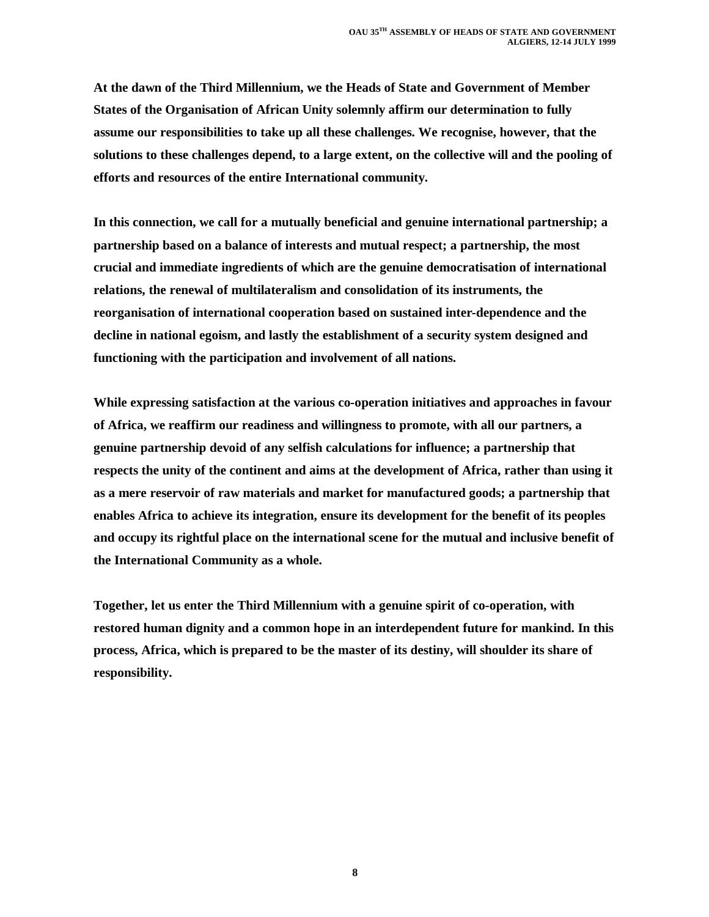**At the dawn of the Third Millennium, we the Heads of State and Government of Member States of the Organisation of African Unity solemnly affirm our determination to fully assume our responsibilities to take up all these challenges. We recognise, however, that the solutions to these challenges depend, to a large extent, on the collective will and the pooling of efforts and resources of the entire International community.** 

**In this connection, we call for a mutually beneficial and genuine international partnership; a partnership based on a balance of interests and mutual respect; a partnership, the most crucial and immediate ingredients of which are the genuine democratisation of international relations, the renewal of multilateralism and consolidation of its instruments, the reorganisation of international cooperation based on sustained inter-dependence and the decline in national egoism, and lastly the establishment of a security system designed and functioning with the participation and involvement of all nations.** 

**While expressing satisfaction at the various co-operation initiatives and approaches in favour of Africa, we reaffirm our readiness and willingness to promote, with all our partners, a genuine partnership devoid of any selfish calculations for influence; a partnership that respects the unity of the continent and aims at the development of Africa, rather than using it as a mere reservoir of raw materials and market for manufactured goods; a partnership that enables Africa to achieve its integration, ensure its development for the benefit of its peoples and occupy its rightful place on the international scene for the mutual and inclusive benefit of the International Community as a whole.** 

**Together, let us enter the Third Millennium with a genuine spirit of co-operation, with restored human dignity and a common hope in an interdependent future for mankind. In this process, Africa, which is prepared to be the master of its destiny, will shoulder its share of responsibility.**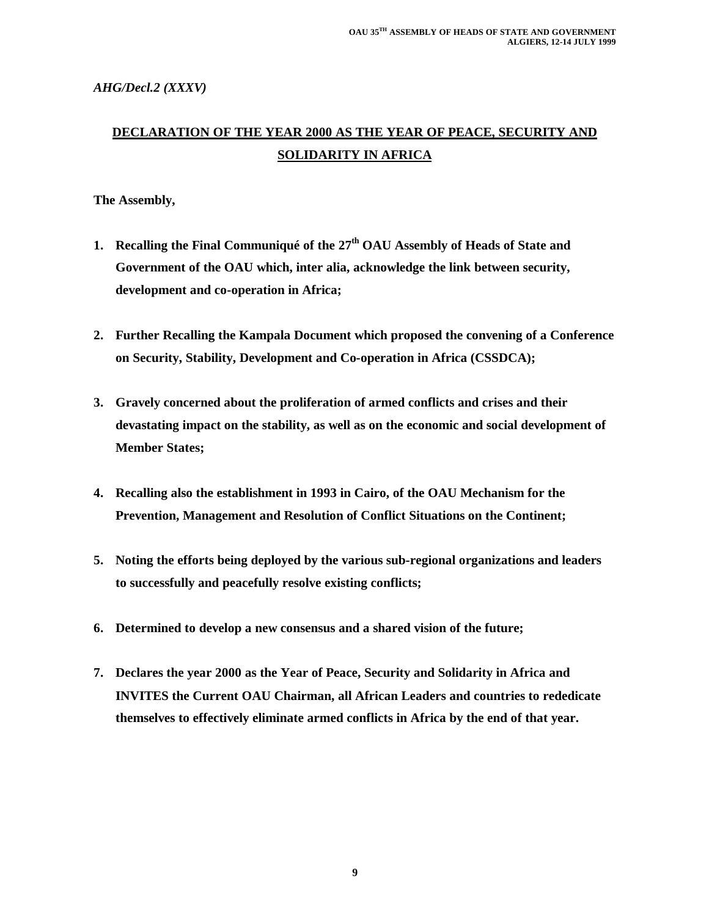#### *AHG/Decl.2 (XXXV)*

# **DECLARATION OF THE YEAR 2000 AS THE YEAR OF PEACE, SECURITY AND SOLIDARITY IN AFRICA**

**The Assembly,** 

- **1. Recalling the Final Communiqué of the 27th OAU Assembly of Heads of State and Government of the OAU which, inter alia, acknowledge the link between security, development and co-operation in Africa;**
- **2. Further Recalling the Kampala Document which proposed the convening of a Conference on Security, Stability, Development and Co-operation in Africa (CSSDCA);**
- **3. Gravely concerned about the proliferation of armed conflicts and crises and their devastating impact on the stability, as well as on the economic and social development of Member States;**
- **4. Recalling also the establishment in 1993 in Cairo, of the OAU Mechanism for the Prevention, Management and Resolution of Conflict Situations on the Continent;**
- **5. Noting the efforts being deployed by the various sub-regional organizations and leaders to successfully and peacefully resolve existing conflicts;**
- **6. Determined to develop a new consensus and a shared vision of the future;**
- **7. Declares the year 2000 as the Year of Peace, Security and Solidarity in Africa and INVITES the Current OAU Chairman, all African Leaders and countries to rededicate themselves to effectively eliminate armed conflicts in Africa by the end of that year.**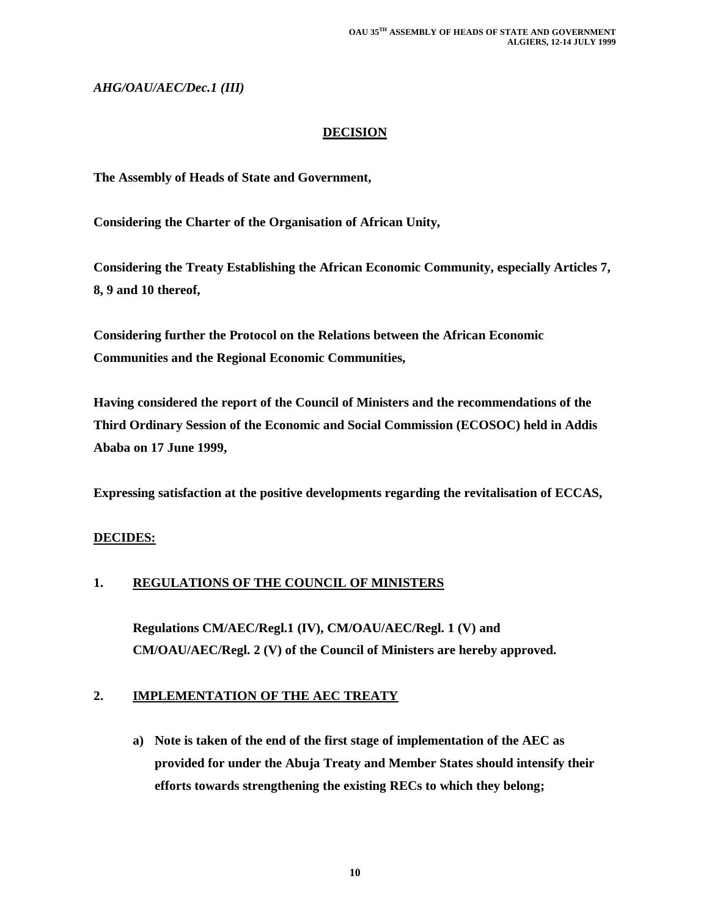*AHG/OAU/AEC/Dec.1 (III)* 

## **DECISION**

**The Assembly of Heads of State and Government,** 

**Considering the Charter of the Organisation of African Unity,** 

**Considering the Treaty Establishing the African Economic Community, especially Articles 7, 8, 9 and 10 thereof,** 

**Considering further the Protocol on the Relations between the African Economic Communities and the Regional Economic Communities,** 

**Having considered the report of the Council of Ministers and the recommendations of the Third Ordinary Session of the Economic and Social Commission (ECOSOC) held in Addis Ababa on 17 June 1999,** 

**Expressing satisfaction at the positive developments regarding the revitalisation of ECCAS,** 

## **DECIDES:**

## **1. REGULATIONS OF THE COUNCIL OF MINISTERS**

**Regulations CM/AEC/Regl.1 (IV), CM/OAU/AEC/Regl. 1 (V) and CM/OAU/AEC/Regl. 2 (V) of the Council of Ministers are hereby approved.** 

## **2. IMPLEMENTATION OF THE AEC TREATY**

**a) Note is taken of the end of the first stage of implementation of the AEC as provided for under the Abuja Treaty and Member States should intensify their efforts towards strengthening the existing RECs to which they belong;**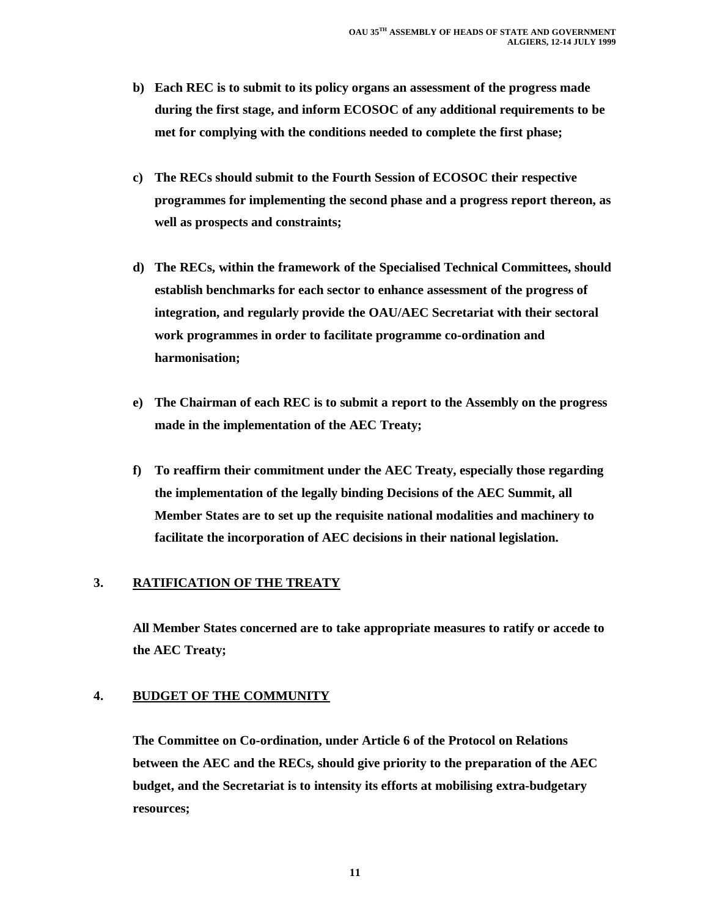- **b) Each REC is to submit to its policy organs an assessment of the progress made during the first stage, and inform ECOSOC of any additional requirements to be met for complying with the conditions needed to complete the first phase;**
- **c) The RECs should submit to the Fourth Session of ECOSOC their respective programmes for implementing the second phase and a progress report thereon, as well as prospects and constraints;**
- **d) The RECs, within the framework of the Specialised Technical Committees, should establish benchmarks for each sector to enhance assessment of the progress of integration, and regularly provide the OAU/AEC Secretariat with their sectoral work programmes in order to facilitate programme co-ordination and harmonisation;**
- **e) The Chairman of each REC is to submit a report to the Assembly on the progress made in the implementation of the AEC Treaty;**
- **f) To reaffirm their commitment under the AEC Treaty, especially those regarding the implementation of the legally binding Decisions of the AEC Summit, all Member States are to set up the requisite national modalities and machinery to facilitate the incorporation of AEC decisions in their national legislation.**

## **3. RATIFICATION OF THE TREATY**

**All Member States concerned are to take appropriate measures to ratify or accede to the AEC Treaty;** 

## **4. BUDGET OF THE COMMUNITY**

**The Committee on Co-ordination, under Article 6 of the Protocol on Relations between the AEC and the RECs, should give priority to the preparation of the AEC budget, and the Secretariat is to intensity its efforts at mobilising extra-budgetary resources;**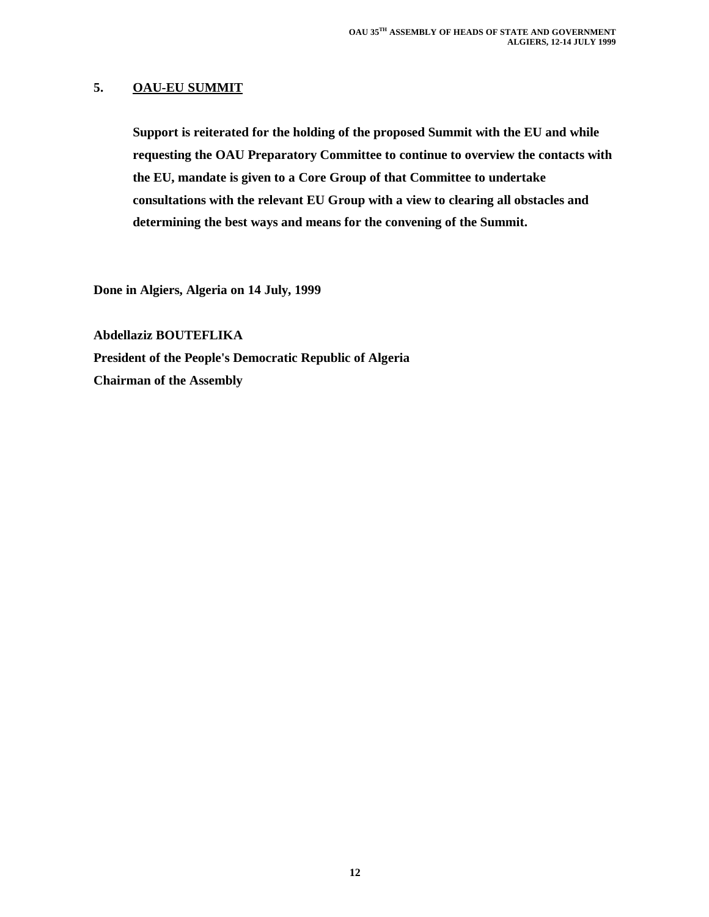#### **5. OAU-EU SUMMIT**

**Support is reiterated for the holding of the proposed Summit with the EU and while requesting the OAU Preparatory Committee to continue to overview the contacts with the EU, mandate is given to a Core Group of that Committee to undertake consultations with the relevant EU Group with a view to clearing all obstacles and determining the best ways and means for the convening of the Summit.** 

**Done in Algiers, Algeria on 14 July, 1999** 

**Abdellaziz BOUTEFLIKA President of the People's Democratic Republic of Algeria Chairman of the Assembly**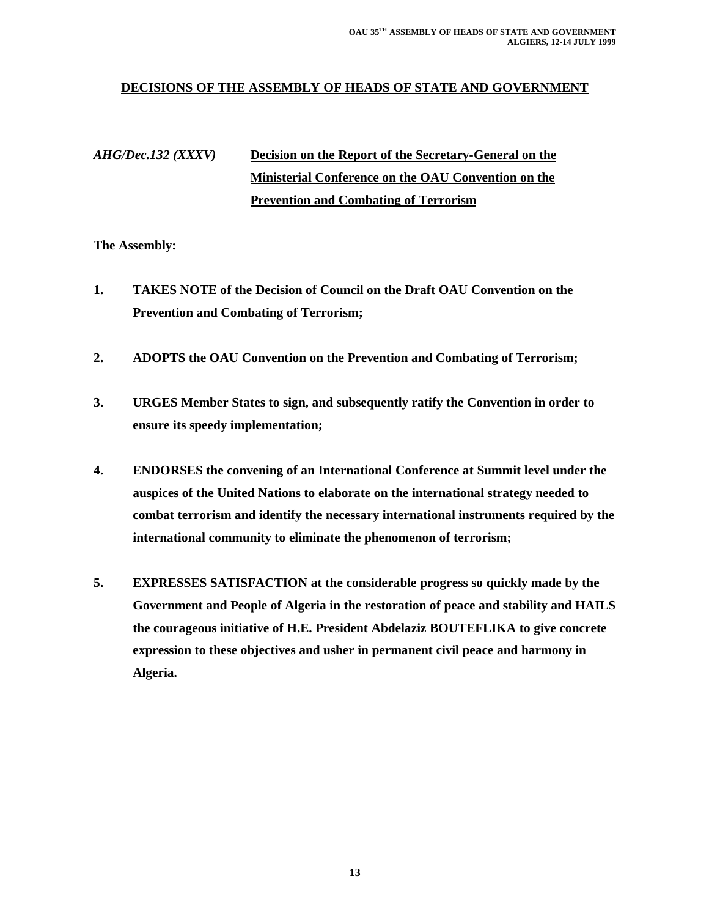#### **DECISIONS OF THE ASSEMBLY OF HEADS OF STATE AND GOVERNMENT**

# *AHG/Dec.132 (XXXV)* **Decision on the Report of the Secretary-General on the Ministerial Conference on the OAU Convention on the Prevention and Combating of Terrorism**

#### **The Assembly:**

- **1. TAKES NOTE of the Decision of Council on the Draft OAU Convention on the Prevention and Combating of Terrorism;**
- **2. ADOPTS the OAU Convention on the Prevention and Combating of Terrorism;**
- **3. URGES Member States to sign, and subsequently ratify the Convention in order to ensure its speedy implementation;**
- **4. ENDORSES the convening of an International Conference at Summit level under the auspices of the United Nations to elaborate on the international strategy needed to combat terrorism and identify the necessary international instruments required by the international community to eliminate the phenomenon of terrorism;**
- **5. EXPRESSES SATISFACTION at the considerable progress so quickly made by the Government and People of Algeria in the restoration of peace and stability and HAILS the courageous initiative of H.E. President Abdelaziz BOUTEFLIKA to give concrete expression to these objectives and usher in permanent civil peace and harmony in Algeria.**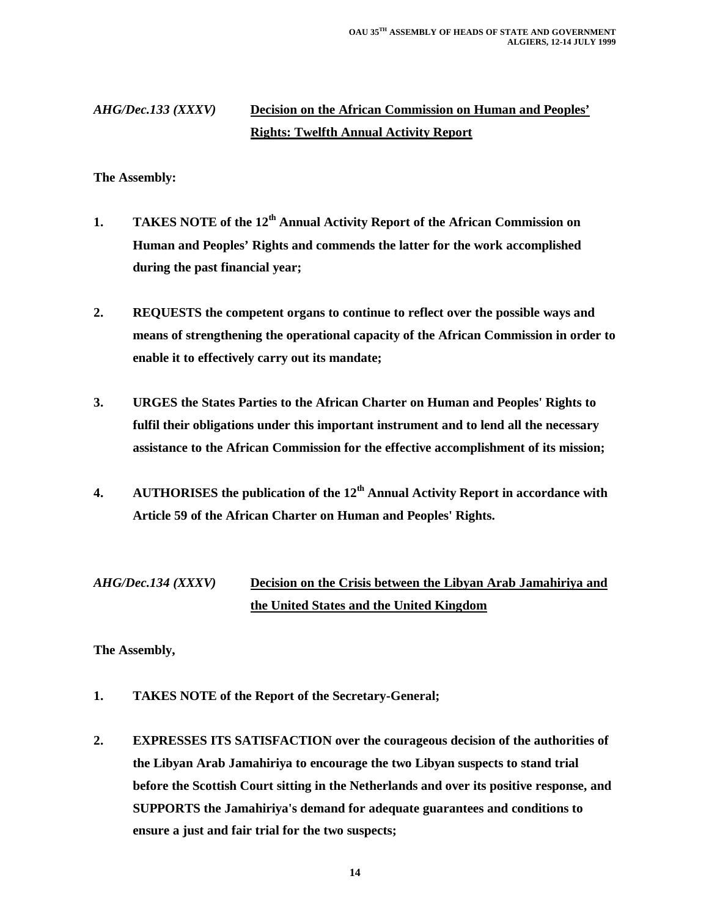## *AHG/Dec.133 (XXXV)* **Decision on the African Commission on Human and Peoples' Rights: Twelfth Annual Activity Report**

#### **The Assembly:**

- **1. TAKES NOTE of the 12th Annual Activity Report of the African Commission on Human and Peoples' Rights and commends the latter for the work accomplished during the past financial year;**
- **2. REQUESTS the competent organs to continue to reflect over the possible ways and means of strengthening the operational capacity of the African Commission in order to enable it to effectively carry out its mandate;**
- **3. URGES the States Parties to the African Charter on Human and Peoples' Rights to fulfil their obligations under this important instrument and to lend all the necessary assistance to the African Commission for the effective accomplishment of its mission;**
- **4. AUTHORISES the publication of the 12th Annual Activity Report in accordance with Article 59 of the African Charter on Human and Peoples' Rights.**

# *AHG/Dec.134 (XXXV)* **Decision on the Crisis between the Libyan Arab Jamahiriya and the United States and the United Kingdom**

## **The Assembly,**

- **1. TAKES NOTE of the Report of the Secretary-General;**
- **2. EXPRESSES ITS SATISFACTION over the courageous decision of the authorities of the Libyan Arab Jamahiriya to encourage the two Libyan suspects to stand trial before the Scottish Court sitting in the Netherlands and over its positive response, and SUPPORTS the Jamahiriya's demand for adequate guarantees and conditions to ensure a just and fair trial for the two suspects;**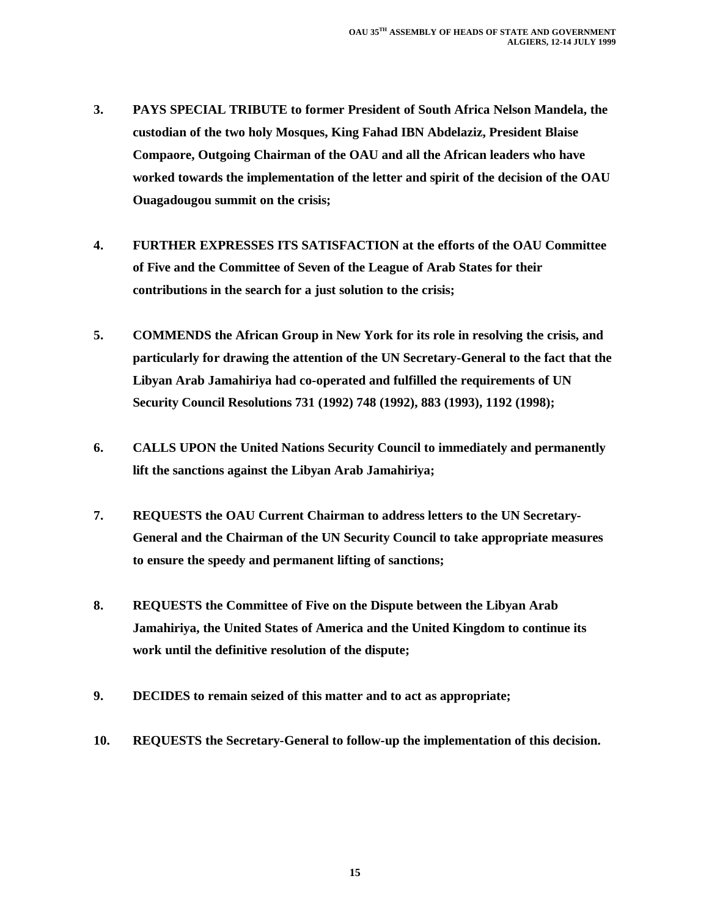- **3. PAYS SPECIAL TRIBUTE to former President of South Africa Nelson Mandela, the custodian of the two holy Mosques, King Fahad IBN Abdelaziz, President Blaise Compaore, Outgoing Chairman of the OAU and all the African leaders who have worked towards the implementation of the letter and spirit of the decision of the OAU Ouagadougou summit on the crisis;**
- **4. FURTHER EXPRESSES ITS SATISFACTION at the efforts of the OAU Committee of Five and the Committee of Seven of the League of Arab States for their contributions in the search for a just solution to the crisis;**
- **5. COMMENDS the African Group in New York for its role in resolving the crisis, and particularly for drawing the attention of the UN Secretary-General to the fact that the Libyan Arab Jamahiriya had co-operated and fulfilled the requirements of UN Security Council Resolutions 731 (1992) 748 (1992), 883 (1993), 1192 (1998);**
- **6. CALLS UPON the United Nations Security Council to immediately and permanently lift the sanctions against the Libyan Arab Jamahiriya;**
- **7. REQUESTS the OAU Current Chairman to address letters to the UN Secretary-General and the Chairman of the UN Security Council to take appropriate measures to ensure the speedy and permanent lifting of sanctions;**
- **8. REQUESTS the Committee of Five on the Dispute between the Libyan Arab Jamahiriya, the United States of America and the United Kingdom to continue its work until the definitive resolution of the dispute;**
- **9. DECIDES to remain seized of this matter and to act as appropriate;**
- **10. REQUESTS the Secretary-General to follow-up the implementation of this decision.**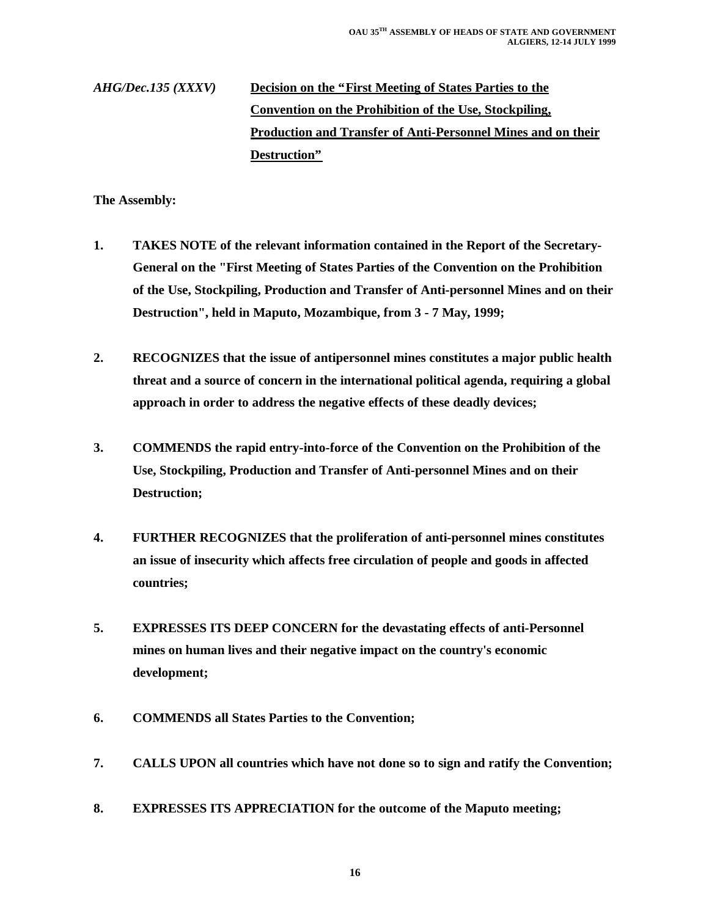# *AHG/Dec.135 (XXXV)* **Decision on the "First Meeting of States Parties to the Convention on the Prohibition of the Use, Stockpiling, Production and Transfer of Anti-Personnel Mines and on their Destruction"**

**The Assembly:** 

- **1. TAKES NOTE of the relevant information contained in the Report of the Secretary-General on the "First Meeting of States Parties of the Convention on the Prohibition of the Use, Stockpiling, Production and Transfer of Anti-personnel Mines and on their Destruction", held in Maputo, Mozambique, from 3 - 7 May, 1999;**
- **2. RECOGNIZES that the issue of antipersonnel mines constitutes a major public health threat and a source of concern in the international political agenda, requiring a global approach in order to address the negative effects of these deadly devices;**
- **3. COMMENDS the rapid entry-into-force of the Convention on the Prohibition of the Use, Stockpiling, Production and Transfer of Anti-personnel Mines and on their Destruction;**
- **4. FURTHER RECOGNIZES that the proliferation of anti-personnel mines constitutes an issue of insecurity which affects free circulation of people and goods in affected countries;**
- **5. EXPRESSES ITS DEEP CONCERN for the devastating effects of anti-Personnel mines on human lives and their negative impact on the country's economic development;**
- **6. COMMENDS all States Parties to the Convention;**
- **7. CALLS UPON all countries which have not done so to sign and ratify the Convention;**
- **8. EXPRESSES ITS APPRECIATION for the outcome of the Maputo meeting;**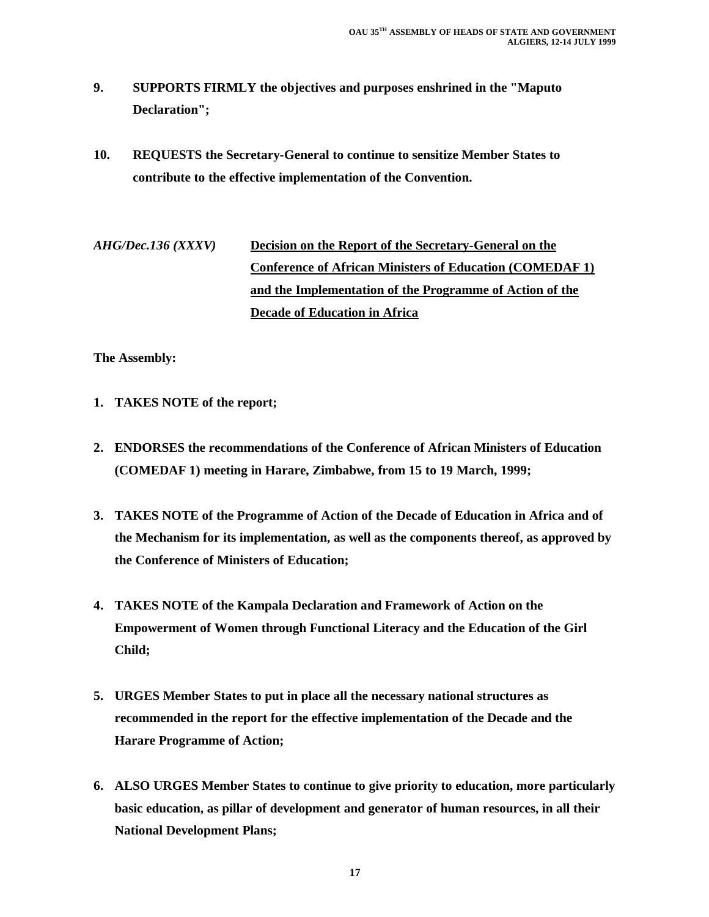- **9. SUPPORTS FIRMLY the objectives and purposes enshrined in the "Maputo Declaration";**
- **10. REQUESTS the Secretary-General to continue to sensitize Member States to contribute to the effective implementation of the Convention.**

# *AHG/Dec.136 (XXXV)* **Decision on the Report of the Secretary-General on the Conference of African Ministers of Education (COMEDAF 1) and the Implementation of the Programme of Action of the Decade of Education in Africa**

**The Assembly:** 

- **1. TAKES NOTE of the report;**
- **2. ENDORSES the recommendations of the Conference of African Ministers of Education (COMEDAF 1) meeting in Harare, Zimbabwe, from 15 to 19 March, 1999;**
- **3. TAKES NOTE of the Programme of Action of the Decade of Education in Africa and of the Mechanism for its implementation, as well as the components thereof, as approved by the Conference of Ministers of Education;**
- **4. TAKES NOTE of the Kampala Declaration and Framework of Action on the Empowerment of Women through Functional Literacy and the Education of the Girl Child;**
- **5. URGES Member States to put in place all the necessary national structures as recommended in the report for the effective implementation of the Decade and the Harare Programme of Action;**
- **6. ALSO URGES Member States to continue to give priority to education, more particularly basic education, as pillar of development and generator of human resources, in all their National Development Plans;**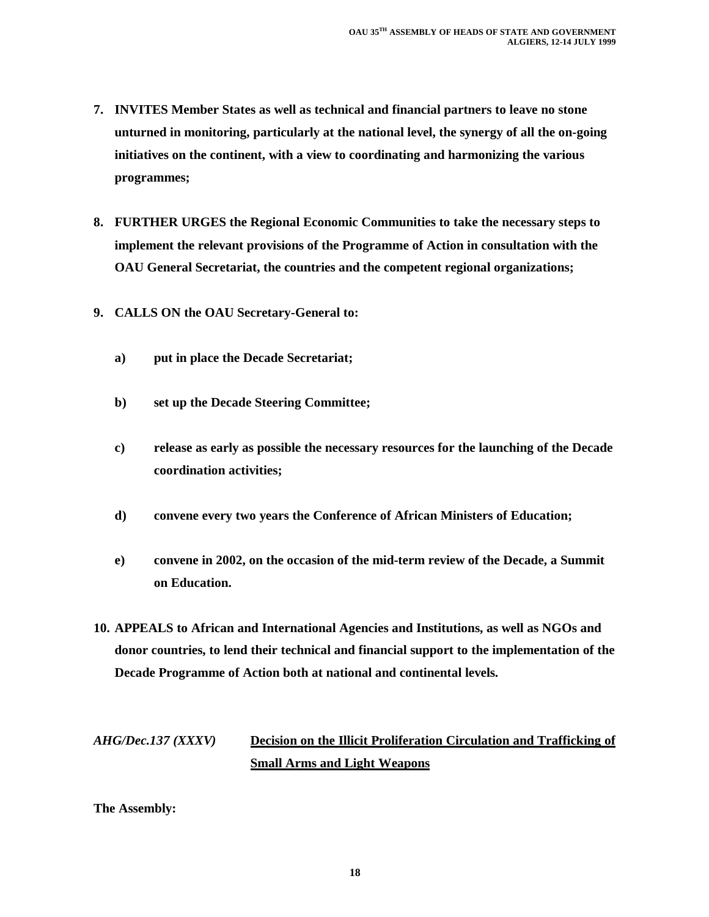- **7. INVITES Member States as well as technical and financial partners to leave no stone unturned in monitoring, particularly at the national level, the synergy of all the on-going initiatives on the continent, with a view to coordinating and harmonizing the various programmes;**
- **8. FURTHER URGES the Regional Economic Communities to take the necessary steps to implement the relevant provisions of the Programme of Action in consultation with the OAU General Secretariat, the countries and the competent regional organizations;**
- **9. CALLS ON the OAU Secretary-General to:** 
	- **a) put in place the Decade Secretariat;**
	- **b) set up the Decade Steering Committee;**
	- **c) release as early as possible the necessary resources for the launching of the Decade coordination activities;**
	- **d) convene every two years the Conference of African Ministers of Education;**
	- **e) convene in 2002, on the occasion of the mid-term review of the Decade, a Summit on Education.**
- **10. APPEALS to African and International Agencies and Institutions, as well as NGOs and donor countries, to lend their technical and financial support to the implementation of the Decade Programme of Action both at national and continental levels.**

# *AHG/Dec.137 (XXXV)* **Decision on the Illicit Proliferation Circulation and Trafficking of Small Arms and Light Weapons**

#### **The Assembly:**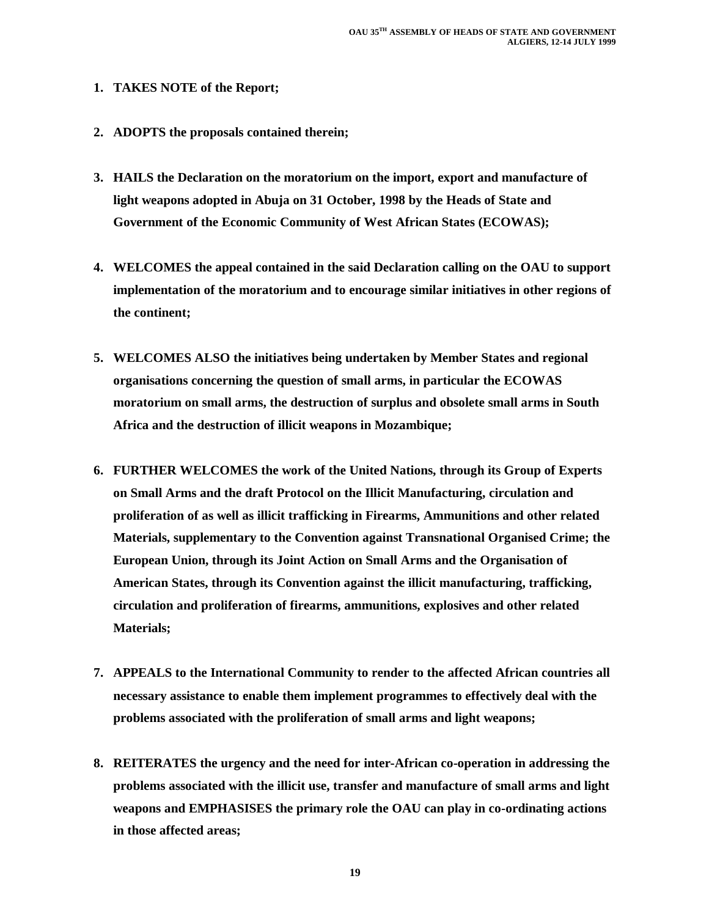#### **1. TAKES NOTE of the Report;**

- **2. ADOPTS the proposals contained therein;**
- **3. HAILS the Declaration on the moratorium on the import, export and manufacture of light weapons adopted in Abuja on 31 October, 1998 by the Heads of State and Government of the Economic Community of West African States (ECOWAS);**
- **4. WELCOMES the appeal contained in the said Declaration calling on the OAU to support implementation of the moratorium and to encourage similar initiatives in other regions of the continent;**
- **5. WELCOMES ALSO the initiatives being undertaken by Member States and regional organisations concerning the question of small arms, in particular the ECOWAS moratorium on small arms, the destruction of surplus and obsolete small arms in South Africa and the destruction of illicit weapons in Mozambique;**
- **6. FURTHER WELCOMES the work of the United Nations, through its Group of Experts on Small Arms and the draft Protocol on the Illicit Manufacturing, circulation and proliferation of as well as illicit trafficking in Firearms, Ammunitions and other related Materials, supplementary to the Convention against Transnational Organised Crime; the European Union, through its Joint Action on Small Arms and the Organisation of American States, through its Convention against the illicit manufacturing, trafficking, circulation and proliferation of firearms, ammunitions, explosives and other related Materials;**
- **7. APPEALS to the International Community to render to the affected African countries all necessary assistance to enable them implement programmes to effectively deal with the problems associated with the proliferation of small arms and light weapons;**
- **8. REITERATES the urgency and the need for inter-African co-operation in addressing the problems associated with the illicit use, transfer and manufacture of small arms and light weapons and EMPHASISES the primary role the OAU can play in co-ordinating actions in those affected areas;**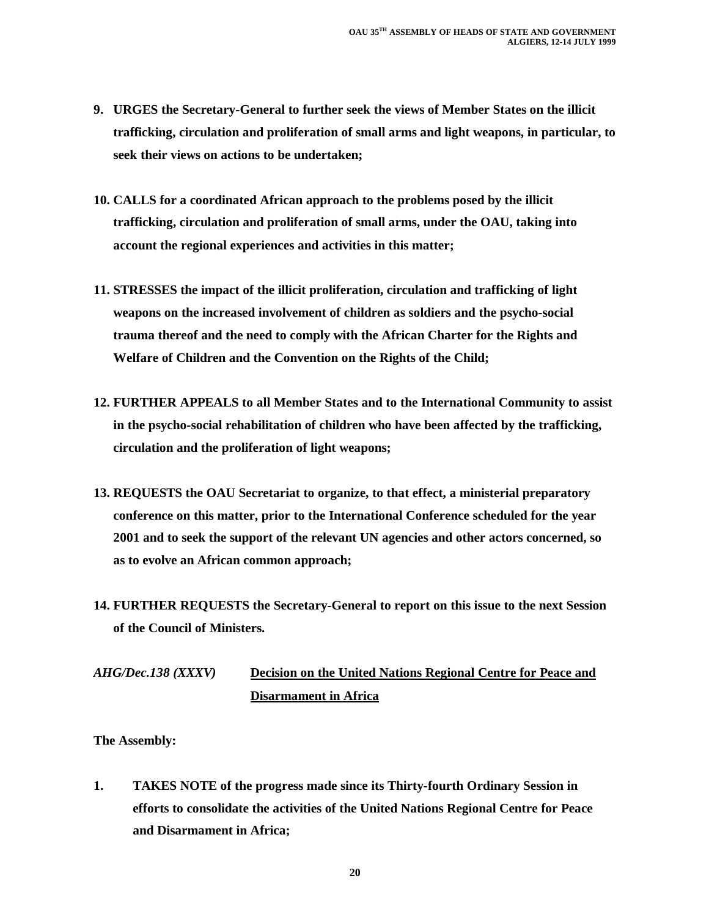- **9. URGES the Secretary-General to further seek the views of Member States on the illicit trafficking, circulation and proliferation of small arms and light weapons, in particular, to seek their views on actions to be undertaken;**
- **10. CALLS for a coordinated African approach to the problems posed by the illicit trafficking, circulation and proliferation of small arms, under the OAU, taking into account the regional experiences and activities in this matter;**
- **11. STRESSES the impact of the illicit proliferation, circulation and trafficking of light weapons on the increased involvement of children as soldiers and the psycho-social trauma thereof and the need to comply with the African Charter for the Rights and Welfare of Children and the Convention on the Rights of the Child;**
- **12. FURTHER APPEALS to all Member States and to the International Community to assist in the psycho-social rehabilitation of children who have been affected by the trafficking, circulation and the proliferation of light weapons;**
- **13. REQUESTS the OAU Secretariat to organize, to that effect, a ministerial preparatory conference on this matter, prior to the International Conference scheduled for the year 2001 and to seek the support of the relevant UN agencies and other actors concerned, so as to evolve an African common approach;**
- **14. FURTHER REQUESTS the Secretary-General to report on this issue to the next Session of the Council of Ministers.**

# *AHG/Dec.138 (XXXV)* **Decision on the United Nations Regional Centre for Peace and Disarmament in Africa**

**The Assembly:**

**1. TAKES NOTE of the progress made since its Thirty-fourth Ordinary Session in efforts to consolidate the activities of the United Nations Regional Centre for Peace and Disarmament in Africa;**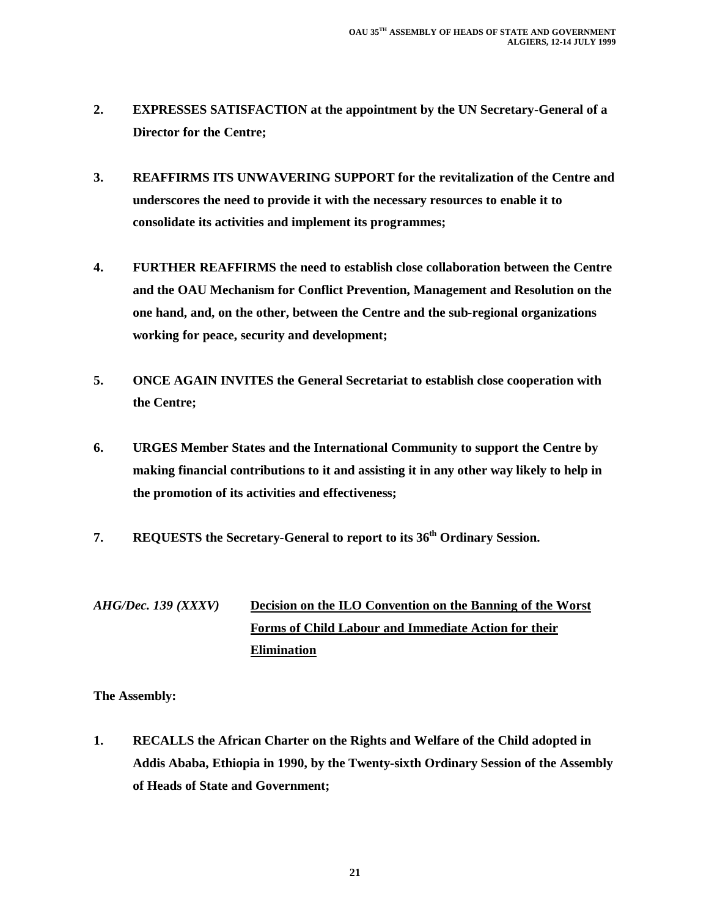- **2. EXPRESSES SATISFACTION at the appointment by the UN Secretary-General of a Director for the Centre;**
- **3. REAFFIRMS ITS UNWAVERING SUPPORT for the revitalization of the Centre and underscores the need to provide it with the necessary resources to enable it to consolidate its activities and implement its programmes;**
- **4. FURTHER REAFFIRMS the need to establish close collaboration between the Centre and the OAU Mechanism for Conflict Prevention, Management and Resolution on the one hand, and, on the other, between the Centre and the sub-regional organizations working for peace, security and development;**
- **5. ONCE AGAIN INVITES the General Secretariat to establish close cooperation with the Centre;**
- **6. URGES Member States and the International Community to support the Centre by making financial contributions to it and assisting it in any other way likely to help in the promotion of its activities and effectiveness;**
- **7. REQUESTS the Secretary-General to report to its 36th Ordinary Session.**

# *AHG/Dec. 139 (XXXV)* **Decision on the ILO Convention on the Banning of the Worst Forms of Child Labour and Immediate Action for their Elimination**

#### **The Assembly:**

**1. RECALLS the African Charter on the Rights and Welfare of the Child adopted in Addis Ababa, Ethiopia in 1990, by the Twenty-sixth Ordinary Session of the Assembly of Heads of State and Government;**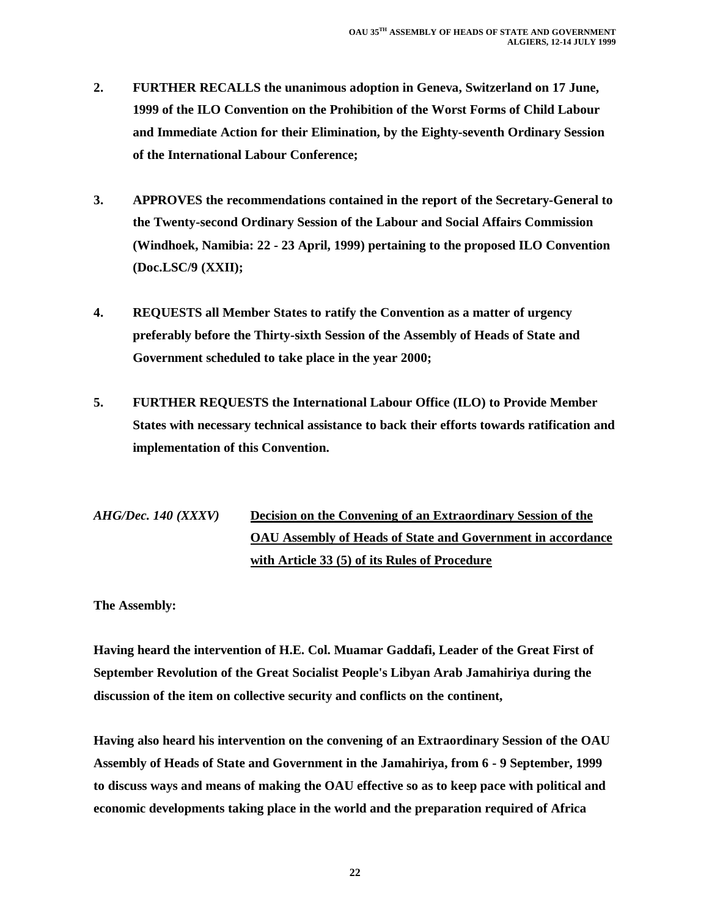- **2. FURTHER RECALLS the unanimous adoption in Geneva, Switzerland on 17 June, 1999 of the ILO Convention on the Prohibition of the Worst Forms of Child Labour and Immediate Action for their Elimination, by the Eighty-seventh Ordinary Session of the International Labour Conference;**
- **3. APPROVES the recommendations contained in the report of the Secretary-General to the Twenty-second Ordinary Session of the Labour and Social Affairs Commission (Windhoek, Namibia: 22 - 23 April, 1999) pertaining to the proposed ILO Convention (Doc.LSC/9 (XXII);**
- **4. REQUESTS all Member States to ratify the Convention as a matter of urgency preferably before the Thirty-sixth Session of the Assembly of Heads of State and Government scheduled to take place in the year 2000;**
- **5. FURTHER REQUESTS the International Labour Office (ILO) to Provide Member States with necessary technical assistance to back their efforts towards ratification and implementation of this Convention.**

# *AHG/Dec. 140 (XXXV)* **Decision on the Convening of an Extraordinary Session of the OAU Assembly of Heads of State and Government in accordance with Article 33 (5) of its Rules of Procedure**

**The Assembly:** 

**Having heard the intervention of H.E. Col. Muamar Gaddafi, Leader of the Great First of September Revolution of the Great Socialist People's Libyan Arab Jamahiriya during the discussion of the item on collective security and conflicts on the continent,** 

**Having also heard his intervention on the convening of an Extraordinary Session of the OAU Assembly of Heads of State and Government in the Jamahiriya, from 6 - 9 September, 1999 to discuss ways and means of making the OAU effective so as to keep pace with political and economic developments taking place in the world and the preparation required of Africa**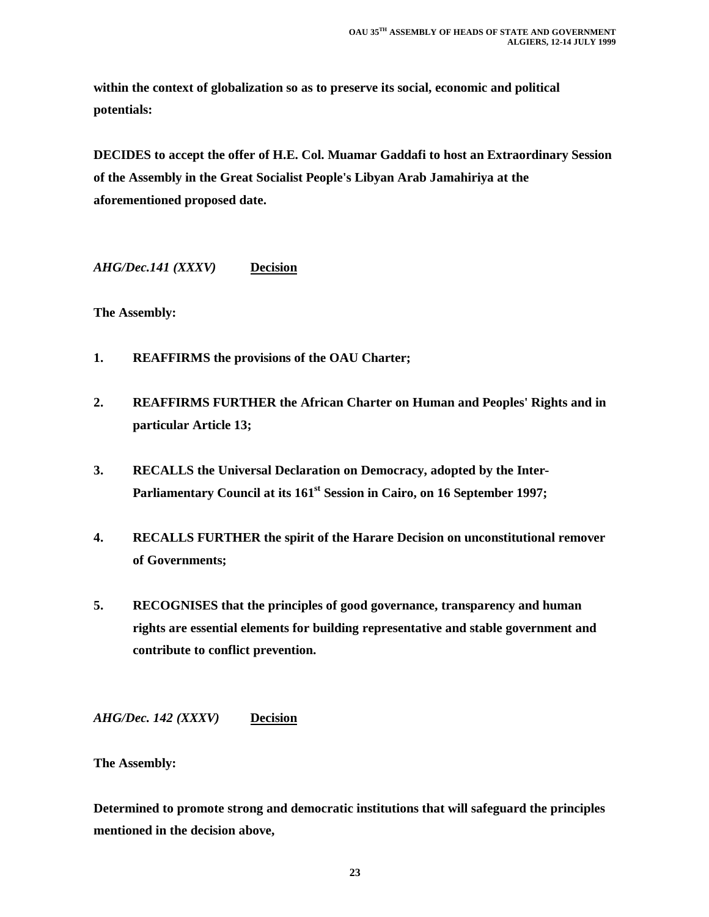**within the context of globalization so as to preserve its social, economic and political potentials:**

**DECIDES to accept the offer of H.E. Col. Muamar Gaddafi to host an Extraordinary Session of the Assembly in the Great Socialist People's Libyan Arab Jamahiriya at the aforementioned proposed date.** 

*AHG/Dec.141 (XXXV)* **Decision**

**The Assembly:** 

- **1. REAFFIRMS the provisions of the OAU Charter;**
- **2. REAFFIRMS FURTHER the African Charter on Human and Peoples' Rights and in particular Article 13;**
- **3. RECALLS the Universal Declaration on Democracy, adopted by the Inter-Parliamentary Council at its 161st Session in Cairo, on 16 September 1997;**
- **4. RECALLS FURTHER the spirit of the Harare Decision on unconstitutional remover of Governments;**
- **5. RECOGNISES that the principles of good governance, transparency and human rights are essential elements for building representative and stable government and contribute to conflict prevention.**

## *AHG/Dec. 142 (XXXV)* **Decision**

**The Assembly:** 

**Determined to promote strong and democratic institutions that will safeguard the principles mentioned in the decision above,**